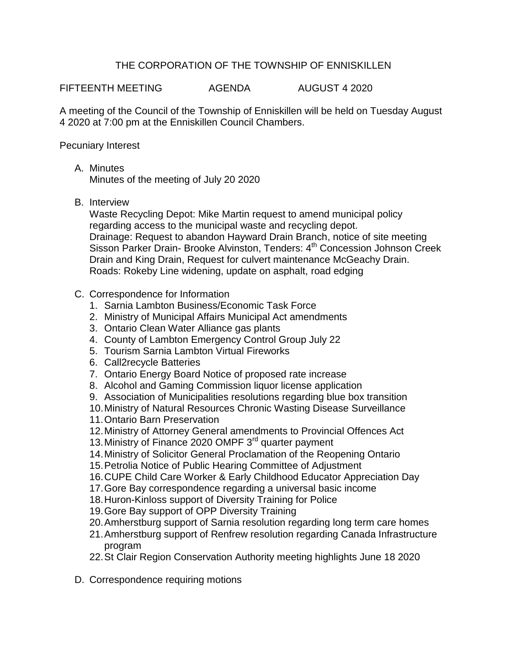## THE CORPORATION OF THE TOWNSHIP OF ENNISKILLEN

FIFTEENTH MEETING AGENDA AUGUST 4 2020

A meeting of the Council of the Township of Enniskillen will be held on Tuesday August 4 2020 at 7:00 pm at the Enniskillen Council Chambers.

## Pecuniary Interest

A. Minutes

Minutes of the meeting of July 20 2020

B. Interview

Waste Recycling Depot: Mike Martin request to amend municipal policy regarding access to the municipal waste and recycling depot. Drainage: Request to abandon Hayward Drain Branch, notice of site meeting Sisson Parker Drain- Brooke Alvinston, Tenders: 4<sup>th</sup> Concession Johnson Creek Drain and King Drain, Request for culvert maintenance McGeachy Drain. Roads: Rokeby Line widening, update on asphalt, road edging

- C. Correspondence for Information
	- 1. Sarnia Lambton Business/Economic Task Force
	- 2. Ministry of Municipal Affairs Municipal Act amendments
	- 3. Ontario Clean Water Alliance gas plants
	- 4. County of Lambton Emergency Control Group July 22
	- 5. Tourism Sarnia Lambton Virtual Fireworks
	- 6. Call2recycle Batteries
	- 7. Ontario Energy Board Notice of proposed rate increase
	- 8. Alcohol and Gaming Commission liquor license application
	- 9. Association of Municipalities resolutions regarding blue box transition
	- 10.Ministry of Natural Resources Chronic Wasting Disease Surveillance
	- 11.Ontario Barn Preservation
	- 12.Ministry of Attorney General amendments to Provincial Offences Act
	- 13. Ministry of Finance 2020 OMPF 3<sup>rd</sup> quarter payment
	- 14.Ministry of Solicitor General Proclamation of the Reopening Ontario
	- 15.Petrolia Notice of Public Hearing Committee of Adjustment
	- 16.CUPE Child Care Worker & Early Childhood Educator Appreciation Day
	- 17.Gore Bay correspondence regarding a universal basic income
	- 18.Huron-Kinloss support of Diversity Training for Police
	- 19.Gore Bay support of OPP Diversity Training
	- 20.Amherstburg support of Sarnia resolution regarding long term care homes
	- 21.Amherstburg support of Renfrew resolution regarding Canada Infrastructure program
	- 22.St Clair Region Conservation Authority meeting highlights June 18 2020
- D. Correspondence requiring motions